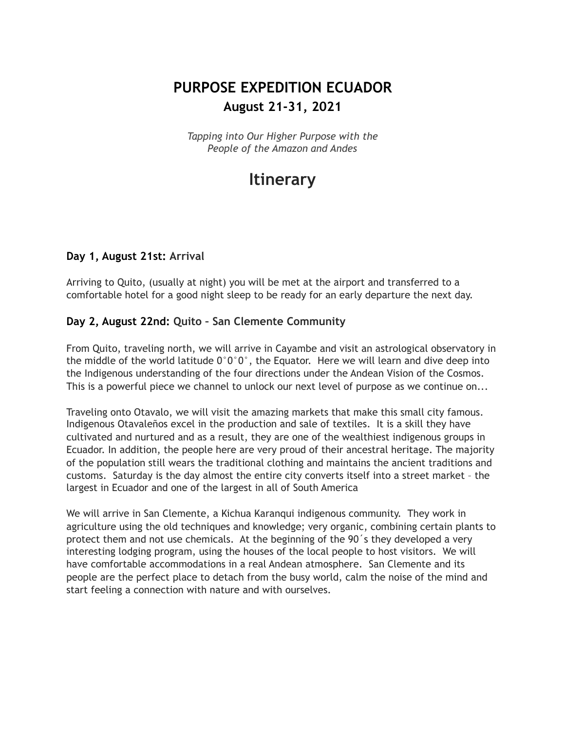## **PURPOSE EXPEDITION ECUADOR August 21-31, 2021**

*Tapping into Our Higher Purpose with the People of the Amazon and Andes*

# **Itinerary**

#### **Day 1, August 21st: Arrival**

Arriving to Quito, (usually at night) you will be met at the airport and transferred to a comfortable hotel for a good night sleep to be ready for an early departure the next day.

#### **Day 2, August 22nd: Quito – San Clemente Community**

From Quito, traveling north, we will arrive in Cayambe and visit an astrological observatory in the middle of the world latitude  $0^{\circ}0^{\circ}0^{\circ}$ , the Equator. Here we will learn and dive deep into the Indigenous understanding of the four directions under the Andean Vision of the Cosmos. This is a powerful piece we channel to unlock our next level of purpose as we continue on...

Traveling onto Otavalo, we will visit the amazing markets that make this small city famous. Indigenous Otavaleños excel in the production and sale of textiles. It is a skill they have cultivated and nurtured and as a result, they are one of the wealthiest indigenous groups in Ecuador. In addition, the people here are very proud of their ancestral heritage. The majority of the population still wears the traditional clothing and maintains the ancient traditions and customs. Saturday is the day almost the entire city converts itself into a street market – the largest in Ecuador and one of the largest in all of South America

We will arrive in San Clemente, a Kichua Karanqui indigenous community. They work in agriculture using the old techniques and knowledge; very organic, combining certain plants to protect them and not use chemicals. At the beginning of the 90´s they developed a very interesting lodging program, using the houses of the local people to host visitors. We will have comfortable accommodations in a real Andean atmosphere. San Clemente and its people are the perfect place to detach from the busy world, calm the noise of the mind and start feeling a connection with nature and with ourselves.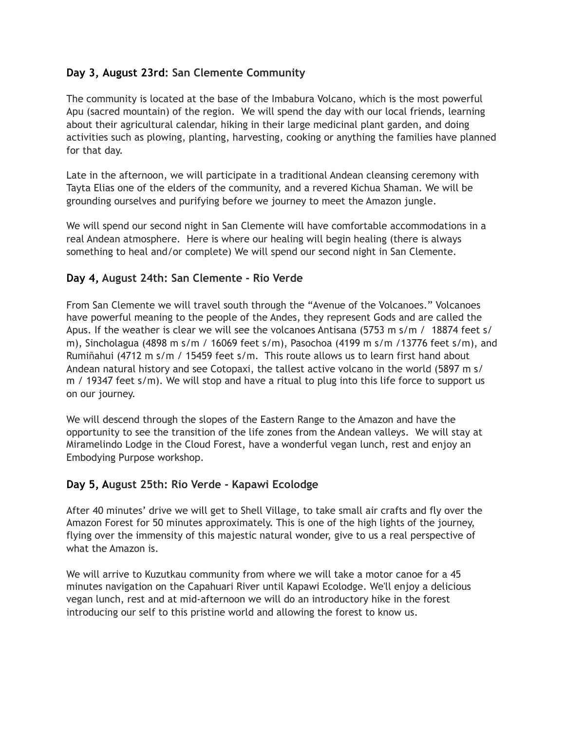#### **Day 3, August 23rd: San Clemente Community**

The community is located at the base of the Imbabura Volcano, which is the most powerful Apu (sacred mountain) of the region. We will spend the day with our local friends, learning about their agricultural calendar, hiking in their large medicinal plant garden, and doing activities such as plowing, planting, harvesting, cooking or anything the families have planned for that day.

Late in the afternoon, we will participate in a traditional Andean cleansing ceremony with Tayta Elias one of the elders of the community, and a revered Kichua Shaman. We will be grounding ourselves and purifying before we journey to meet the Amazon jungle.

We will spend our second night in San Clemente will have comfortable accommodations in a real Andean atmosphere. Here is where our healing will begin healing (there is always something to heal and/or complete) We will spend our second night in San Clemente.

#### **Day 4, August 24th: San Clemente - Rio Verde**

From San Clemente we will travel south through the "Avenue of the Volcanoes." Volcanoes have powerful meaning to the people of the Andes, they represent Gods and are called the Apus. If the weather is clear we will see the volcanoes Antisana (5753 m s/m / 18874 feet s/ m), Sincholagua (4898 m s/m / 16069 feet s/m), Pasochoa (4199 m s/m /13776 feet s/m), and Rumiñahui (4712 m s/m / 15459 feet s/m. This route allows us to learn first hand about Andean natural history and see Cotopaxi, the tallest active volcano in the world (5897 m s/ m / 19347 feet s/m). We will stop and have a ritual to plug into this life force to support us on our journey.

We will descend through the slopes of the Eastern Range to the Amazon and have the opportunity to see the transition of the life zones from the Andean valleys. We will stay at Miramelindo Lodge in the Cloud Forest, have a wonderful vegan lunch, rest and enjoy an Embodying Purpose workshop.

#### **Day 5, August 25th: Rio Verde - Kapawi Ecolodge**

After 40 minutes' drive we will get to Shell Village, to take small air crafts and fly over the Amazon Forest for 50 minutes approximately. This is one of the high lights of the journey, flying over the immensity of this majestic natural wonder, give to us a real perspective of what the Amazon is.

We will arrive to Kuzutkau community from where we will take a motor canoe for a 45 minutes navigation on the Capahuari River until Kapawi Ecolodge. We'll enjoy a delicious vegan lunch, rest and at mid-afternoon we will do an introductory hike in the forest introducing our self to this pristine world and allowing the forest to know us.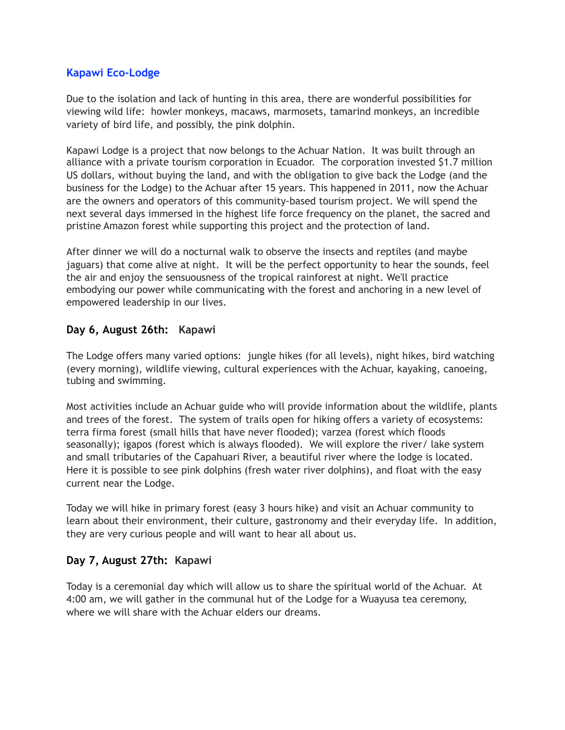#### **Kapawi Eco-Lodge**

Due to the isolation and lack of hunting in this area, there are wonderful possibilities for viewing wild life: howler monkeys, macaws, marmosets, tamarind monkeys, an incredible variety of bird life, and possibly, the pink dolphin.

Kapawi Lodge is a project that now belongs to the Achuar Nation. It was built through an alliance with a private tourism corporation in Ecuador. The corporation invested \$1.7 million US dollars, without buying the land, and with the obligation to give back the Lodge (and the business for the Lodge) to the Achuar after 15 years. This happened in 2011, now the Achuar are the owners and operators of this community-based tourism project. We will spend the next several days immersed in the highest life force frequency on the planet, the sacred and pristine Amazon forest while supporting this project and the protection of land.

After dinner we will do a nocturnal walk to observe the insects and reptiles (and maybe jaguars) that come alive at night. It will be the perfect opportunity to hear the sounds, feel the air and enjoy the sensuousness of the tropical rainforest at night. We'll practice embodying our power while communicating with the forest and anchoring in a new level of empowered leadership in our lives.

#### **Day 6, August 26th: Kapawi**

The Lodge offers many varied options: jungle hikes (for all levels), night hikes, bird watching (every morning), wildlife viewing, cultural experiences with the Achuar, kayaking, canoeing, tubing and swimming.

Most activities include an Achuar guide who will provide information about the wildlife, plants and trees of the forest. The system of trails open for hiking offers a variety of ecosystems: terra firma forest (small hills that have never flooded); varzea (forest which floods seasonally); igapos (forest which is always flooded). We will explore the river/ lake system and small tributaries of the Capahuari River, a beautiful river where the lodge is located. Here it is possible to see pink dolphins (fresh water river dolphins), and float with the easy current near the Lodge.

Today we will hike in primary forest (easy 3 hours hike) and visit an Achuar community to learn about their environment, their culture, gastronomy and their everyday life. In addition, they are very curious people and will want to hear all about us.

#### **Day 7, August 27th: Kapawi**

Today is a ceremonial day which will allow us to share the spiritual world of the Achuar. At 4:00 am, we will gather in the communal hut of the Lodge for a Wuayusa tea ceremony, where we will share with the Achuar elders our dreams.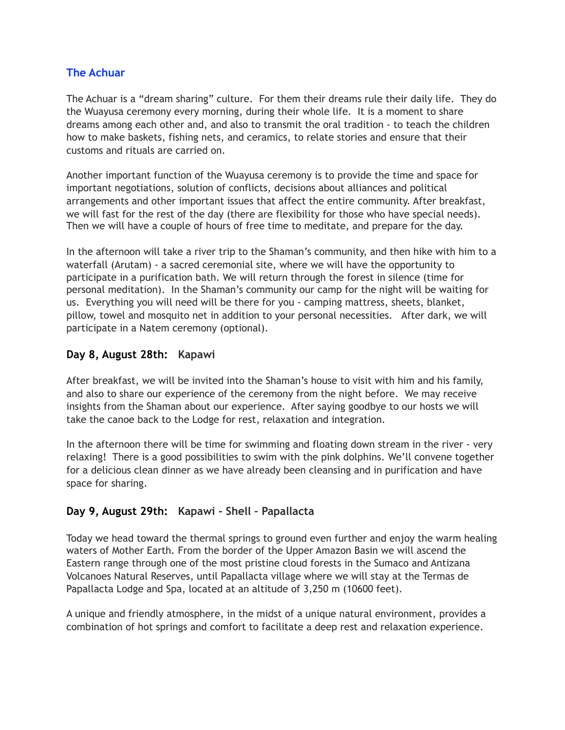#### **The Achuar**

The Achuar is a "dream sharing" culture. For them their dreams rule their daily life. They do the Wuayusa ceremony every morning, during their whole life. It is a moment to share dreams among each other and, and also to transmit the oral tradition - to teach the children how to make baskets, fishing nets, and ceramics, to relate stories and ensure that their customs and rituals are carried on.

Another important function of the Wuayusa ceremony is to provide the time and space for important negotiations, solution of conflicts, decisions about alliances and political arrangements and other important issues that affect the entire community. After breakfast, we will fast for the rest of the day (there are flexibility for those who have special needs). Then we will have a couple of hours of free time to meditate, and prepare for the day.

In the afternoon will take a river trip to the Shaman's community, and then hike with him to a waterfall (Arutam) - a sacred ceremonial site, where we will have the opportunity to participate in a purification bath. We will return through the forest in silence (time for personal meditation). In the Shaman's community our camp for the night will be waiting for us. Everything you will need will be there for you - camping mattress, sheets, blanket, pillow, towel and mosquito net in addition to your personal necessities. After dark, we will participate in a Natem ceremony (optional).

#### **Day 8, August 28th: Kapawi**

After breakfast, we will be invited into the Shaman's house to visit with him and his family, and also to share our experience of the ceremony from the night before. We may receive insights from the Shaman about our experience. After saying goodbye to our hosts we will take the canoe back to the Lodge for rest, relaxation and integration.

In the afternoon there will be time for swimming and floating down stream in the river - very relaxing! There is a good possibilities to swim with the pink dolphins. We'll convene together for a delicious clean dinner as we have already been cleansing and in purification and have space for sharing.

#### **Day 9, August 29th: Kapawi - Shell – Papallacta**

Today we head toward the thermal springs to ground even further and enjoy the warm healing waters of Mother Earth. From the border of the Upper Amazon Basin we will ascend the Eastern range through one of the most pristine cloud forests in the Sumaco and Antizana Volcanoes Natural Reserves, until Papallacta village where we will stay at the Termas de Papallacta Lodge and Spa, located at an altitude of 3,250 m (10600 feet).

A unique and friendly atmosphere, in the midst of a unique natural environment, provides a combination of hot springs and comfort to facilitate a deep rest and relaxation experience.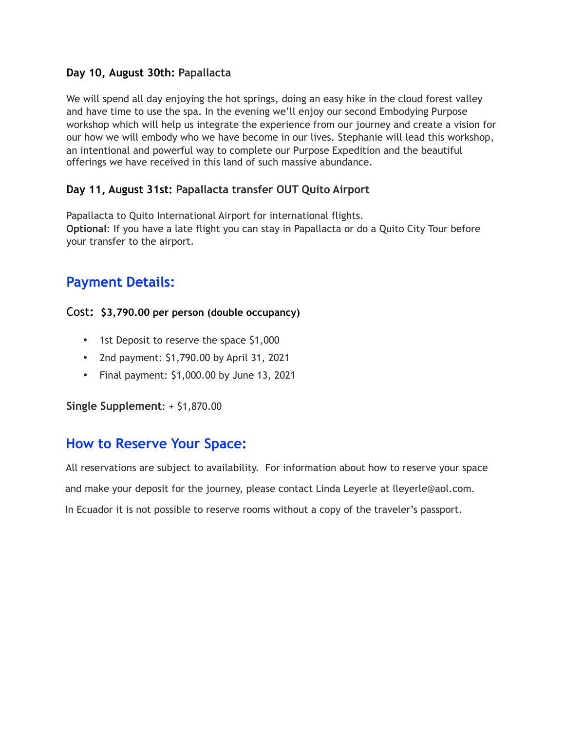#### **Day 10, August 30th: Papallacta**

We will spend all day enjoying the hot springs, doing an easy hike in the cloud forest valley and have time to use the spa. In the evening we'll enjoy our second Embodying Purpose workshop which will help us integrate the experience from our journey and create a vision for our how we will embody who we have become in our lives. Stephanie will lead this workshop, an intentional and powerful way to complete our Purpose Expedition and the beautiful offerings we have received in this land of such massive abundance.

#### **Day 11, August 31st: Papallacta transfer OUT Quito Airport**

Papallacta to Quito International Airport for international flights. **Optional**: If you have a late flight you can stay in Papallacta or do a Quito City Tour before your transfer to the airport.

### **Payment Details:**

#### Cost**: \$3,790.00 per person (double occupancy)**

- 1st Deposit to reserve the space \$1,000
- 2nd payment: \$1,790.00 by April 31, 2021
- Final payment: \$1,000.00 by June 13, 2021

**Single Supplement**: + \$1,870.00

### **How to Reserve Your Space:**

All reservations are subject to availability. For information about how to reserve your space and make your deposit for the journey, please contact Linda Leyerle at lleyerle@aol.com. In Ecuador it is not possible to reserve rooms without a copy of the traveler's passport.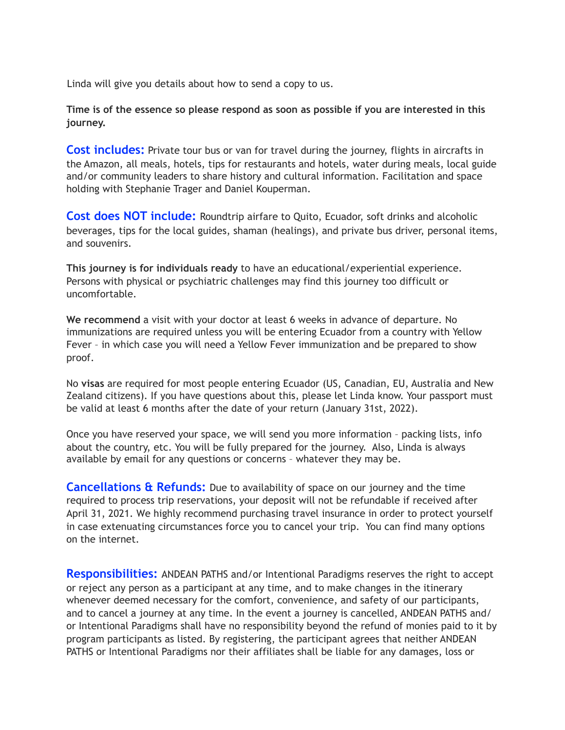Linda will give you details about how to send a copy to us.

**Time is of the essence so please respond as soon as possible if you are interested in this journey.**

**Cost includes:** Private tour bus or van for travel during the journey, flights in aircrafts in the Amazon, all meals, hotels, tips for restaurants and hotels, water during meals, local guide and/or community leaders to share history and cultural information. Facilitation and space holding with Stephanie Trager and Daniel Kouperman.

**Cost does NOT include:** Roundtrip airfare to Quito, Ecuador, soft drinks and alcoholic beverages, tips for the local guides, shaman (healings), and private bus driver, personal items, and souvenirs.

**This journey is for individuals ready** to have an educational/experiential experience. Persons with physical or psychiatric challenges may find this journey too difficult or uncomfortable.

**We recommend** a visit with your doctor at least 6 weeks in advance of departure. No immunizations are required unless you will be entering Ecuador from a country with Yellow Fever – in which case you will need a Yellow Fever immunization and be prepared to show proof.

No **visas** are required for most people entering Ecuador (US, Canadian, EU, Australia and New Zealand citizens). If you have questions about this, please let Linda know. Your passport must be valid at least 6 months after the date of your return (January 31st, 2022).

Once you have reserved your space, we will send you more information – packing lists, info about the country, etc. You will be fully prepared for the journey. Also, Linda is always available by email for any questions or concerns – whatever they may be.

**Cancellations & Refunds:** Due to availability of space on our journey and the time required to process trip reservations, your deposit will not be refundable if received after April 31, 2021. We highly recommend purchasing travel insurance in order to protect yourself in case extenuating circumstances force you to cancel your trip. You can find many options on the internet.

**Responsibilities:** ANDEAN PATHS and/or Intentional Paradigms reserves the right to accept or reject any person as a participant at any time, and to make changes in the itinerary whenever deemed necessary for the comfort, convenience, and safety of our participants, and to cancel a journey at any time. In the event a journey is cancelled, ANDEAN PATHS and/ or Intentional Paradigms shall have no responsibility beyond the refund of monies paid to it by program participants as listed. By registering, the participant agrees that neither ANDEAN PATHS or Intentional Paradigms nor their affiliates shall be liable for any damages, loss or